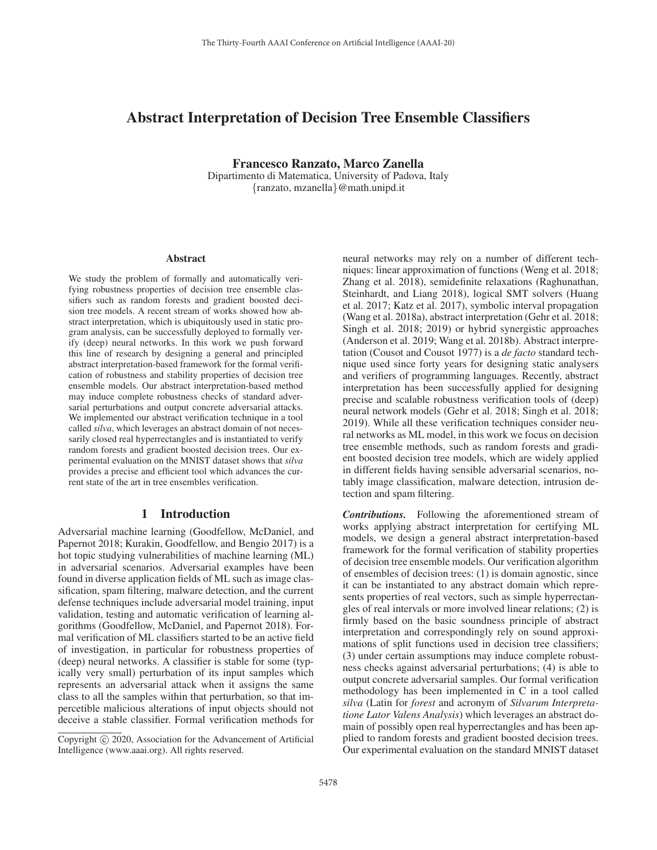# Abstract Interpretation of Decision Tree Ensemble Classifiers

Francesco Ranzato, Marco Zanella

Dipartimento di Matematica, University of Padova, Italy {ranzato, mzanella}@math.unipd.it

#### Abstract

We study the problem of formally and automatically verifying robustness properties of decision tree ensemble classifiers such as random forests and gradient boosted decision tree models. A recent stream of works showed how abstract interpretation, which is ubiquitously used in static program analysis, can be successfully deployed to formally verify (deep) neural networks. In this work we push forward this line of research by designing a general and principled abstract interpretation-based framework for the formal verification of robustness and stability properties of decision tree ensemble models. Our abstract interpretation-based method may induce complete robustness checks of standard adversarial perturbations and output concrete adversarial attacks. We implemented our abstract verification technique in a tool called *silva*, which leverages an abstract domain of not necessarily closed real hyperrectangles and is instantiated to verify random forests and gradient boosted decision trees. Our experimental evaluation on the MNIST dataset shows that *silva* provides a precise and efficient tool which advances the current state of the art in tree ensembles verification.

### 1 Introduction

Adversarial machine learning (Goodfellow, McDaniel, and Papernot 2018; Kurakin, Goodfellow, and Bengio 2017) is a hot topic studying vulnerabilities of machine learning (ML) in adversarial scenarios. Adversarial examples have been found in diverse application fields of ML such as image classification, spam filtering, malware detection, and the current defense techniques include adversarial model training, input validation, testing and automatic verification of learning algorithms (Goodfellow, McDaniel, and Papernot 2018). Formal verification of ML classifiers started to be an active field of investigation, in particular for robustness properties of (deep) neural networks. A classifier is stable for some (typically very small) perturbation of its input samples which represents an adversarial attack when it assigns the same class to all the samples within that perturbation, so that impercetible malicious alterations of input objects should not deceive a stable classifier. Formal verification methods for

neural networks may rely on a number of different techniques: linear approximation of functions (Weng et al. 2018; Zhang et al. 2018), semidefinite relaxations (Raghunathan, Steinhardt, and Liang 2018), logical SMT solvers (Huang et al. 2017; Katz et al. 2017), symbolic interval propagation (Wang et al. 2018a), abstract interpretation (Gehr et al. 2018; Singh et al. 2018; 2019) or hybrid synergistic approaches (Anderson et al. 2019; Wang et al. 2018b). Abstract interpretation (Cousot and Cousot 1977) is a *de facto* standard technique used since forty years for designing static analysers and verifiers of programming languages. Recently, abstract interpretation has been successfully applied for designing precise and scalable robustness verification tools of (deep) neural network models (Gehr et al. 2018; Singh et al. 2018; 2019). While all these verification techniques consider neural networks as ML model, in this work we focus on decision tree ensemble methods, such as random forests and gradient boosted decision tree models, which are widely applied in different fields having sensible adversarial scenarios, notably image classification, malware detection, intrusion detection and spam filtering.

*Contributions.* Following the aforementioned stream of works applying abstract interpretation for certifying ML models, we design a general abstract interpretation-based framework for the formal verification of stability properties of decision tree ensemble models. Our verification algorithm of ensembles of decision trees: (1) is domain agnostic, since it can be instantiated to any abstract domain which represents properties of real vectors, such as simple hyperrectangles of real intervals or more involved linear relations; (2) is firmly based on the basic soundness principle of abstract interpretation and correspondingly rely on sound approximations of split functions used in decision tree classifiers; (3) under certain assumptions may induce complete robustness checks against adversarial perturbations; (4) is able to output concrete adversarial samples. Our formal verification methodology has been implemented in C in a tool called *silva* (Latin for *forest* and acronym of *Silvarum Interpretatione Lator Valens Analysis*) which leverages an abstract domain of possibly open real hyperrectangles and has been applied to random forests and gradient boosted decision trees. Our experimental evaluation on the standard MNIST dataset

Copyright  $\odot$  2020, Association for the Advancement of Artificial Intelligence (www.aaai.org). All rights reserved.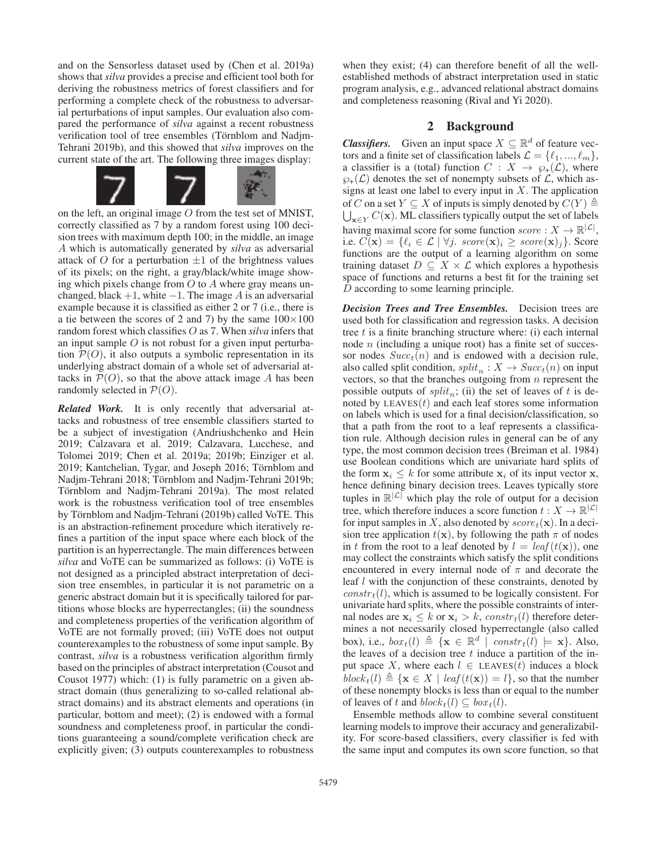and on the Sensorless dataset used by (Chen et al. 2019a) shows that *silva* provides a precise and efficient tool both for deriving the robustness metrics of forest classifiers and for performing a complete check of the robustness to adversarial perturbations of input samples. Our evaluation also compared the performance of *silva* against a recent robustness verification tool of tree ensembles (Törnblom and Nadjm-Tehrani 2019b), and this showed that *silva* improves on the current state of the art. The following three images display:



on the left, an original image  $O$  from the test set of MNIST, correctly classified as 7 by a random forest using 100 decision trees with maximum depth 100; in the middle, an image A which is automatically generated by *silva* as adversarial attack of O for a perturbation  $\pm 1$  of the brightness values of its pixels; on the right, a gray/black/white image showing which pixels change from  $O$  to  $A$  where gray means unchanged, black  $+1$ , white  $-1$ . The image A is an adversarial example because it is classified as either 2 or 7 (i.e., there is a tie between the scores of 2 and 7) by the same  $100 \times 100$ random forest which classifies <sup>O</sup> as 7. When *silva* infers that an input sample  $O$  is not robust for a given input perturbation  $P(O)$ , it also outputs a symbolic representation in its underlying abstract domain of a whole set of adversarial attacks in  $\mathcal{P}(O)$ , so that the above attack image A has been randomly selected in  $P(O)$ .

*Related Work.* It is only recently that adversarial attacks and robustness of tree ensemble classifiers started to be a subject of investigation (Andriushchenko and Hein 2019; Calzavara et al. 2019; Calzavara, Lucchese, and Tolomei 2019; Chen et al. 2019a; 2019b; Einziger et al. 2019; Kantchelian, Tygar, and Joseph 2016; Törnblom and Nadjm-Tehrani 2018; Törnblom and Nadjm-Tehrani 2019b; Törnblom and Nadjm-Tehrani 2019a). The most related work is the robustness verification tool of tree ensembles by Törnblom and Nadjm-Tehrani (2019b) called VoTE. This is an abstraction-refinement procedure which iteratively refines a partition of the input space where each block of the partition is an hyperrectangle. The main differences between *silva* and VoTE can be summarized as follows: (i) VoTE is not designed as a principled abstract interpretation of decision tree ensembles, in particular it is not parametric on a generic abstract domain but it is specifically tailored for partitions whose blocks are hyperrectangles; (ii) the soundness and completeness properties of the verification algorithm of VoTE are not formally proved; (iii) VoTE does not output counterexamples to the robustness of some input sample. By contrast, *silva* is a robustness verification algorithm firmly based on the principles of abstract interpretation (Cousot and Cousot 1977) which: (1) is fully parametric on a given abstract domain (thus generalizing to so-called relational abstract domains) and its abstract elements and operations (in particular, bottom and meet); (2) is endowed with a formal soundness and completeness proof, in particular the conditions guaranteeing a sound/complete verification check are explicitly given; (3) outputs counterexamples to robustness

when they exist; (4) can therefore benefit of all the wellestablished methods of abstract interpretation used in static program analysis, e.g., advanced relational abstract domains and completeness reasoning (Rival and Yi 2020).

# 2 Background

*Classifiers.* Given an input space  $X \subseteq \mathbb{R}^d$  of feature vectors and a finite set of classification labels  $\mathcal{L} = \{\ell_1, ..., \ell_m\}$ ,<br>a classifier is a (total) function  $C : X \to \Omega(C)$  where a classifier is a (total) function  $C : X \rightarrow \wp_+(\mathcal{L})$ , where  $\varphi_+(\mathcal{L})$  denotes the set of nonempty subsets of  $\mathcal{L}$ , which assigns at least one label to every input in  $X$ . The application  $\bigcup_{\mathbf{x} \in Y} C(\mathbf{x})$ . ML classifiers typically output the set of labels begins maximal seems for some function seems  $\colon Y \to \mathbb{R}^{|L|}$ of C on a set  $Y \subseteq X$  of inputs is simply denoted by  $C(Y) \triangleq$ <br> $\Box$   $\Box$   $C(\mathbf{x})$  ML classifiers typically output the set of labels having maximal score for some function  $score: X \to \mathbb{R}^{|\mathcal{L}|}$ , i.e.  $C(\mathbf{x}) = \{ \ell_i \in \mathcal{L} \mid \forall j$ .  $score(\mathbf{x})_i \geq score(\mathbf{x})_j \}$ . Score functions are the output of a learning algorithm on some training dataset  $D \subseteq X \times \mathcal{L}$  which explores a hypothesis space of functions and returns a best fit for the training set D according to some learning principle.

*Decision Trees and Tree Ensembles.* Decision trees are used both for classification and regression tasks. A decision tree  $t$  is a finite branching structure where: (i) each internal node  $n$  (including a unique root) has a finite set of successor nodes  $Succ<sub>t</sub>(n)$  and is endowed with a decision rule, also called split condition,  $split_n : X \to Succ_t(n)$  on input vectors, so that the branches outgoing from  $n$  represent the possible outputs of  $split_n$ ; (ii) the set of leaves of t is denoted by  $LEAVES(t)$  and each leaf stores some information on labels which is used for a final decision/classification, so that a path from the root to a leaf represents a classification rule. Although decision rules in general can be of any type, the most common decision trees (Breiman et al. 1984) use Boolean conditions which are univariate hard splits of the form  $x_i \leq k$  for some attribute  $x_i$  of its input vector **x**, hence defining binary decision trees. Leaves typically store tuples in  $\mathbb{R}^{|\mathcal{L}|}$  which play the role of output for a decision tree, which therefore induces a score function  $t : X \to \mathbb{R}^{|\mathcal{L}|}$ for input samples in X, also denoted by  $score_t(\mathbf{x})$ . In a decision tree application  $t(\mathbf{x})$ , by following the path  $\pi$  of nodes in t from the root to a leaf denoted by  $l = leaf(t(\mathbf{x}))$ , one may collect the constraints which satisfy the split conditions encountered in every internal node of  $\pi$  and decorate the leaf l with the conjunction of these constraints, denoted by  $constr<sub>t</sub>(l)$ , which is assumed to be logically consistent. For univariate hard splits, where the possible constraints of internal nodes are  $\mathbf{x}_i \leq k$  or  $\mathbf{x}_i > k$ ,  $constr_t(l)$  therefore determines a not necessarily closed hyperrectangle (also called box), i.e.,  $box_t(l) \triangleq {\mathbf{x} \in \mathbb{R}^d \mid constr_t(l) \models \mathbf{x}}$ . Also, the leaves of a decision tree t induce a partition of the inthe leaves of a decision tree  $t$  induce a partition of the input space X, where each  $l \in$  LEAVES(t) induces a block *block*<sub>t</sub>(*l*)  $\triangleq$  {**x** ∈ *X* | *leaf* (*t*(**x**)) = *l*}, so that the number of these nonempty blocks is less than or equal to the number of these nonempty blocks is less than or equal to the number of leaves of t and  $block_t(l) \subseteq box_t(l)$ .

Ensemble methods allow to combine several constituent learning models to improve their accuracy and generalizability. For score-based classifiers, every classifier is fed with the same input and computes its own score function, so that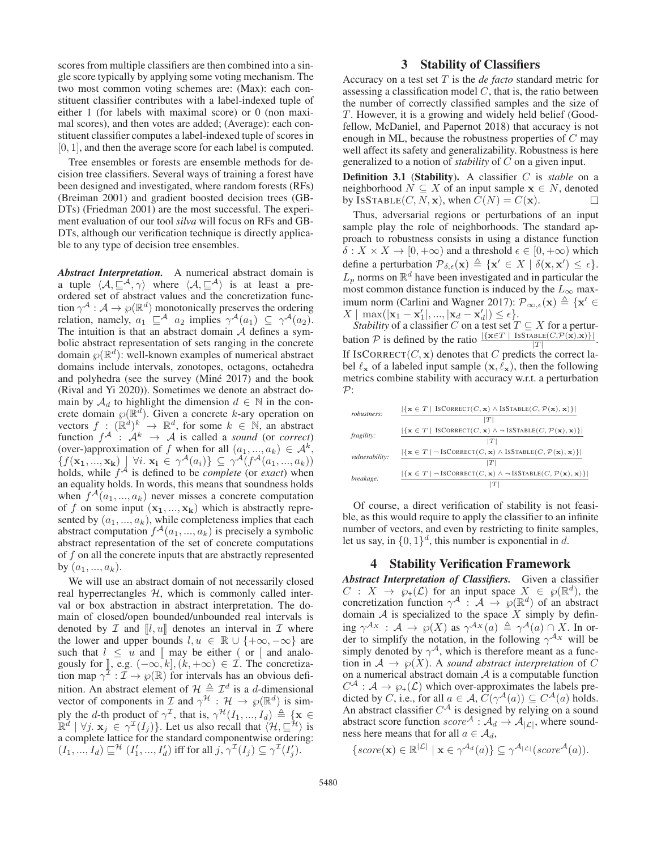scores from multiple classifiers are then combined into a single score typically by applying some voting mechanism. The two most common voting schemes are: (Max): each constituent classifier contributes with a label-indexed tuple of either 1 (for labels with maximal score) or 0 (non maximal scores), and then votes are added; (Average): each constituent classifier computes a label-indexed tuple of scores in [0, 1], and then the average score for each label is computed.

Tree ensembles or forests are ensemble methods for decision tree classifiers. Several ways of training a forest have been designed and investigated, where random forests (RFs) (Breiman 2001) and gradient boosted decision trees (GB-DTs) (Friedman 2001) are the most successful. The experiment evaluation of our tool *silva* will focus on RFs and GB-DTs, although our verification technique is directly applicable to any type of decision tree ensembles.

*Abstract Interpretation.* A numerical abstract domain is a tuple  $\langle A, \underline{\square}^{\mathcal{A}}, \gamma \rangle$  where  $\langle A, \underline{\square}^{\mathcal{A}} \rangle$  is at least a preordered set of abstract values and the concretization function  $\gamma^{\mathcal{A}}: \mathcal{A} \to \wp(\mathbb{R}^d)$  monotonically preserves the ordering relation, namely,  $a_1 \subseteq A$  a<sub>2</sub> implies  $\gamma^{\mathcal{A}}(a_1) \subseteq \gamma^{\mathcal{A}}(a_2)$ . The intuition is that an abstract domain  $A$  defines a symbolic abstract representation of sets ranging in the concrete domain  $\varphi(\mathbb{R}^d)$ : well-known examples of numerical abstract domains include intervals, zonotopes, octagons, octahedra and polyhedra (see the survey (Miné  $2017$ ) and the book (Rival and Yi 2020)). Sometimes we denote an abstract domain by  $A_d$  to highlight the dimension  $d \in \mathbb{N}$  in the concrete domain  $\wp(\mathbb{R}^d)$ . Given a concrete k-ary operation on<br>vectors  $f : (\mathbb{R}^d)^k \to \mathbb{R}^d$  for some  $k \in \mathbb{N}$  an abstract vectors  $f : (\mathbb{R}^d)^k \to \mathbb{R}^d$ , for some  $k \in \mathbb{N}$ , an abstract<br>function  $f \to A^k \to A$  is called a *sound* (or *correct*) function  $f^{\mathcal{A}}$ :  $\mathcal{A}^{k} \to \mathcal{A}$  is called a *sound* (or *correct*)<br>(over-)annoximation of f when for all  $(a_1, a_1) \in \mathcal{A}^{k}$ (over-)approximation of f when for all  $(a_1, ..., a_k) \in A^k$ ,<br> $\{f(\mathbf{x}_1, \mathbf{x}_2) \mid \forall i \mathbf{x}_i \in \gamma^{\mathcal{A}}(a_i)\} \subset \gamma^{\mathcal{A}}(f^{\mathcal{A}}(a_1, a_2))$  ${f(\mathbf{x}_1, ..., \mathbf{x}_k)}$   $\forall i. \mathbf{x}_i \in \gamma^{\mathcal{A}}(a_i)$   $\subseteq \gamma^{\mathcal{A}}(f^{\mathcal{A}}(a_1, ..., a_k))$  holds, while  $f^{\mathcal{A}}$  is defined to be *complete* (or *exact*) when an equality holds. In words, this means that soundness holds when  $f^{\mathcal{A}}(a_1, ..., a_k)$  never misses a concrete computation of f on some input  $(\mathbf{x}_1, ..., \mathbf{x}_k)$  which is abstractly represented by  $(a_1, ..., a_k)$ , while completeness implies that each abstract computation  $f^{\mathcal{A}}(a_1, ..., a_k)$  is precisely a symbolic abstract representation of the set of concrete computations of  $f$  on all the concrete inputs that are abstractly represented by  $(a_1, ..., a_k)$ .

We will use an abstract domain of not necessarily closed real hyperrectangles  $H$ , which is commonly called interval or box abstraction in abstract interpretation. The domain of closed/open bounded/unbounded real intervals is denoted by  $\mathcal I$  and  $\llbracket l, u \rrbracket$  denotes an interval in  $\mathcal I$  where the lower and upper bounds  $l, u \in \mathbb{R} \cup \{+\infty, -\infty\}$  are such that  $l \leq u$  and  $\llbracket \text{may be either} \mid \text{or} \llbracket$  and analo-<br>gously for  $\llbracket \text{eg} \llbracket (-\infty, k] \mid (k + \infty) \in \mathcal{T}$ . The concretizagously for  $\parallel$ , e.g.  $(-\infty, k]$ ,  $(k, +\infty) \in \mathcal{I}$ . The concretization map  $\gamma^{\mathcal{I}} : \mathcal{I} \to \wp(\mathbb{R})$  for intervals has an obvious definition. An abstract element of  $\mathcal{H} \triangleq \mathcal{I}^d$  is a d-dimensional vector of components in  $\mathcal I$  and  $\gamma^{\mathcal H}$  :  $\mathcal H \to \wp(\mathbb R^d)$  is simply the *d*-th product of  $\gamma^{\mathcal{I}}$ , that is,  $\gamma^{\mathcal{H}}(I_1, ..., I_d) \triangleq {\mathbf{x} \in \mathbb{R}^d \mid \forall j \in \mathbf{x}_j \in \gamma^{\mathcal{I}}(I_j)}$ . Let us also recall that  $\langle \mathcal{H}, \sqsubseteq^{\mathcal{H}} \rangle$  is a complete lattice for the standard componentwise order a complete lattice for the standard componentwise ordering:  $(I_1, ..., I_d) \sqsubseteq^{\mathcal{H}} (I'_1, ..., I'_d)$  iff for all  $j, \gamma^{\mathcal{I}}(I_j) \subseteq \gamma^{\mathcal{I}}(I'_j)$ .

### 3 Stability of Classifiers

Accuracy on a test set T is the *de facto* standard metric for assessing a classification model  $C$ , that is, the ratio between the number of correctly classified samples and the size of T. However, it is a growing and widely held belief (Goodfellow, McDaniel, and Papernot 2018) that accuracy is not enough in ML, because the robustness properties of  $C$  may well affect its safety and generalizability. Robustness is here generalized to a notion of *stability* of C on a given input.

Definition 3.1 (Stability). A classifier C is *stable* on a neighborhood  $N \subseteq X$  of an input sample  $x \in N$ , denoted by ISSTABLE $(C, N, \mathbf{x})$ , when  $C(N) = C(\mathbf{x})$ .  $\Box$ 

Thus, adversarial regions or perturbations of an input sample play the role of neighborhoods. The standard approach to robustness consists in using a distance function  $\delta: X \times X \to [0, +\infty)$  and a threshold  $\epsilon \in [0, +\infty)$  which define a perturbation  $\mathcal{P}_{\delta,\epsilon}(\mathbf{x}) \triangleq {\mathbf{x}' \in X \mid \delta(\mathbf{x}, \mathbf{x}') \leq \epsilon}.$ <br>*L*, norms on  $\mathbb{R}^d$  have been investigated and in particular the  $L_p$  norms on  $\mathbb{R}^d$  have been investigated and in particular the most common distance function is induced by the  $L_{\infty}$  maximum norm (Carlini and Wagner 2017):  $\mathcal{P}_{\infty,\epsilon}(\mathbf{x}) \triangleq {\mathbf{x}' \in X \mid \max(|\mathbf{x}_1 - \mathbf{x}'_2| \mid \mathbf{x}_2 - \mathbf{x}'_2|)} \leq \epsilon}$  $X \mid \max(|\mathbf{x}_1 - \mathbf{x}'_1|, ..., |\mathbf{x}_d - \mathbf{x}'_d|) \le \epsilon$ .<br>Stability of a classifier C on a test set T

*Stability* of a classifier C on a test set  $T \subseteq X$  for a perturbation P is defined by the ratio  $\frac{|\{\mathbf{x} \in T \mid \text{ISSTABLE}(C, \mathcal{P}(\hat{\mathbf{x}}), \mathbf{x})\}|}{|T|}$ . If ISCORRECT( $C$ , **x**) denotes that C predicts the correct label  $\ell_{\mathbf{x}}$  of a labeled input sample  $(\mathbf{x}, \hat{\ell}_{\mathbf{x}})$ , then the following metrics combine stability with accuracy w r t a perturbation metrics combine stability with accuracy w.r.t. a perturbation  $\mathcal{P}$ :

| robustness:    | $ \{x \in T \mid \text{ISCORRECT}(C, x) \land \text{ISSTABLE}(C, \mathcal{P}(x), x)\} $            |
|----------------|----------------------------------------------------------------------------------------------------|
|                | ΙTΙ                                                                                                |
| fragility:     | $ \{x \in T \mid \text{ISCORRECT}(C, x) \land \neg \text{ISSTABLE}(C, \mathcal{P}(x), x)\} $       |
|                |                                                                                                    |
| vulnerability: | $ \{x \in T \mid \neg \text{ ISCORRECT}(C, x) \land \text{ISSTABLE}(C, \mathcal{P}(x), x)\} $      |
|                | T                                                                                                  |
| breakage:      | $ \{x \in T \mid \neg \text{ ISCORRECT}(C, x) \land \neg \text{ISSTABLE}(C, \mathcal{P}(x), x)\} $ |
|                |                                                                                                    |

Of course, a direct verification of stability is not feasible, as this would require to apply the classifier to an infinite number of vectors, and even by restricting to finite samples, let us say, in  $\{0, 1\}^d$ , this number is exponential in d.

# 4 Stability Verification Framework

*Abstract Interpretation of Classifiers.* Given a classifier  $C: X \to \varphi_+(\mathcal{L})$  for an input space  $X \in \varphi(\mathbb{R}^d)$ , the concretization function  $\gamma^A$  :  $\mathcal{A} \rightarrow \wp(\mathbb{R}^d)$  of an abstract domain  $A$  is specialized to the space  $X$  simply by defining  $\gamma^{Ax}$  :  $A \to \wp(X)$  as  $\gamma^{Ax}(a) \triangleq \gamma^{A}(a) \cap X$ . In order to simplify the notation in the following  $\gamma^{Ax}$  will be der to simplify the notation, in the following  $\gamma^{A_X}$  will be simply denoted by  $\gamma^A$ , which is therefore meant as a function in  $A \to \varphi(X)$ . A *sound abstract interpretation* of C on a numerical abstract domain  $A$  is a computable function  $C^{\mathcal{A}} : \mathcal{A} \to \wp_+(\mathcal{L})$  which over-approximates the labels pre-<br>dicted by C i.e. for all  $g \in \mathcal{A}$   $C(\gamma^{\mathcal{A}}(g)) \subset C^{\mathcal{A}}(g)$  holds dicted by C, i.e., for all  $a \in \mathcal{A}$ ,  $C(\gamma^{\mathcal{A}}(a)) \subseteq C^{\mathcal{A}}(a)$  holds. An abstract classifier  $C^{\mathcal{A}}$  is designed by relying on a sound abstract score function  $score^A : \mathcal{A}_d \to \mathcal{A}_{|\mathcal{L}|}$ , where soundness here means that for all  $a \in \mathcal{A}_d$ ,

{score(**x**) 
$$
\in \mathbb{R}^{|L|} | \mathbf{x} \in \gamma^{\mathcal{A}_d}(a) \} \subseteq \gamma^{\mathcal{A}_{|L|}}(score^{\mathcal{A}}(a)).
$$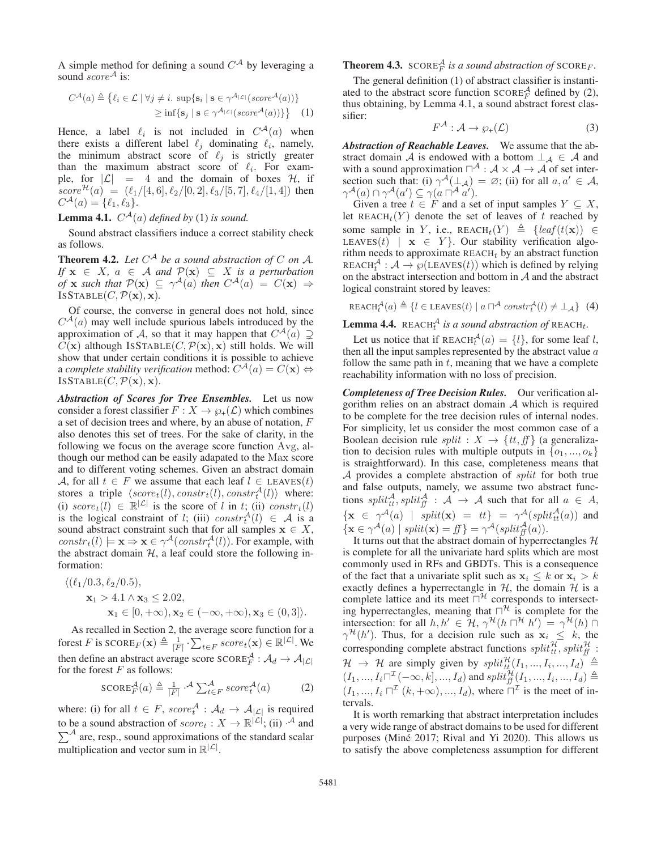A simple method for defining a sound  $C^{\mathcal{A}}$  by leveraging a sound *score*<sup>A</sup> is:

$$
C^{\mathcal{A}}(a) \triangleq \{ \ell_i \in \mathcal{L} \mid \forall j \neq i. \sup \{ \mathbf{s}_i \mid \mathbf{s} \in \gamma^{\mathcal{A}_{|\mathcal{L}|}}(score^{\mathcal{A}}(a)) \} \}
$$
  
 
$$
\geq \inf \{ \mathbf{s}_j \mid \mathbf{s} \in \gamma^{\mathcal{A}_{|\mathcal{L}|}}(score^{\mathcal{A}}(a)) \} \} \quad (1)
$$

Hence, a label  $\ell_i$  is not included in  $C^{\mathcal{A}}(a)$  when<br>there exists a different label  $\ell_i$  dominating  $\ell_i$  namely there exists a different label  $\ell_j$  dominating  $\ell_i$ , namely, the minimum abstract score of  $\ell_j$  is strictly greater than the maximum abstract score of  $\ell_i$ . For example, for  $|\mathcal{L}| = 4$  and the domain of boxes  $\mathcal{H}$ , if  $score^{\mathcal{H}}(a) = (\ell_1/[4, 6], \ell_2/[0, 2], \ell_3/[5, 7], \ell_4/[1, 4])$  then  $C^{\mathcal{A}}(a) = {\ell_1, \ell_2}$  $C^{A}(a) = {\ell_1, \ell_3}.$ 

**Lemma 4.1.**  $C^{\mathcal{A}}(a)$  *defined by* (1) *is sound.* 

Sound abstract classifiers induce a correct stability check as follows.

**Theorem 4.2.** Let  $C^{\mathcal{A}}$  be a sound abstraction of C on A. *If*  $\mathbf{x} \in X$ ,  $a \in A$  *and*  $\mathcal{P}(\mathbf{x}) \subseteq X$  *is a perturbation* of  $\mathbf{x}$  *such that*  $\mathcal{P}(\mathbf{x}) \subseteq \gamma^{\mathcal{A}}(a)$  *then*  $C^{\mathcal{A}}(a) = C(\mathbf{x}) \Rightarrow$ *of* **x** *such that*  $P(\mathbf{x}) \subseteq \gamma^{\mathcal{A}}(a)$  *then*  $C^{\mathcal{A}}(a) = C(\mathbf{x}) \Rightarrow$ <br>
ISSTABLE(*C*)  $P(\mathbf{x}) \times$ ISSTABLE $(C, \mathcal{P}(\mathbf{x}), \mathbf{x})$ .

Of course, the converse in general does not hold, since  $C^{\mathcal{A}}(a)$  may well include spurious labels introduced by the approximation of  $A$  so that it may happen that  $C^{\mathcal{A}}(a)$ approximation of A, so that it may happen that  $C^{\mathcal{A}}(a) \supsetneq C(\mathbf{x})$  although ISSTABLE $(C, \mathcal{D}(\mathbf{x}), \mathbf{x})$  still holds. We will  $C(\mathbf{x})$  although ISSTABLE $(C, \mathcal{P}(\mathbf{x}), \mathbf{x})$  still holds. We will show that under certain conditions it is possible to achieve a *complete stability verification* method:  $C^{\mathcal{A}}(a) = C(\mathbf{x}) \Leftrightarrow$ ISSTABLE $(C, \mathcal{P}(\mathbf{x}), \mathbf{x})$ .

*Abstraction of Scores for Tree Ensembles.* Let us now consider a forest classifier  $F: X \to \mathcal{O}_+(L)$  which combines a set of decision trees and where, by an abuse of notation, F also denotes this set of trees. For the sake of clarity, in the following we focus on the average score function Avg, although our method can be easily adapated to the Max score and to different voting schemes. Given an abstract domain A, for all  $t \in F$  we assume that each leaf  $l \in$  LEAVES $(t)$ stores a triple  $\langle score_t(l), constr_t(l), constr_t(l) \rangle$  where:<br>(i)  $score_t(l) \in \mathbb{R}^{|{\mathcal{L}}|}$  is the score of *l* in *t*; (ii) constr.(*l*) (i)  $score_t(l) \in \mathbb{R}^{|\mathcal{L}|}$  is the score of l in t; (ii)  $constr_t(l)$ is the logical constraint of l; (iii)  $constr_A^A(l) \in A$  is a sound abstract constraint such that for all samples  $x \in X$ sound abstract constraint such that for all samples  $x \in X$ ,  $constr_t(l) \models \mathbf{x} \Rightarrow \mathbf{x} \in \gamma^{\mathcal{A}}(constr_t^{\mathcal{A}}(l))$ . For example, with the abstract domain  $\mathcal{H}$  a leaf could store the following inthe abstract domain  $H$ , a leaf could store the following information:

$$
\langle (\ell_1/0.3, \ell_2/0.5),\mathbf{x}_1 > 4.1 \land \mathbf{x}_3 \le 2.02,\mathbf{x}_1 \in [0, +\infty), \mathbf{x}_2 \in (-\infty, +\infty), \mathbf{x}_3 \in (0, 3] \rangle.
$$

As recalled in Section 2, the average score function for a forest F is  $SCOREF(\mathbf{x}) \triangleq \frac{1}{|F|} \cdot \sum_{t \in F} score_t(\mathbf{x}) \in \mathbb{R}^{|L|}$ . We then define an abstract average score  $\text{SCORE}_{F}^{A} : \mathcal{A}_{d} \to \mathcal{A}_{|\mathcal{L}|}$  for the forest F as follows: for the forest  $F$  as follows:

$$
\text{SCORE}_{F}^{A}(a) \triangleq \frac{1}{|F|} \cdot \mathcal{A} \sum_{t \in F}^{A} score_{t}^{A}(a) \tag{2}
$$

where: (i) for all  $t \in F$ ,  $score^A_t : \mathcal{A}_d \to \mathcal{A}_{|\mathcal{L}|}$  is required<br>to be a sound obstraction of earner  $X \to \mathbb{R}^{|\mathcal{L}|}$ , (ii)  $\mathcal{A}$  and to be a sound abstraction of  $score_t : X \to \mathbb{R}^{|\mathcal{L}|}$ ; (ii)  $\mathcal{A}$  and  $\sum \mathcal{A}$  are resp. sound approximations of the standard scalar  $\sum^{\mathcal{A}}$  are, resp., sound approximations of the standard scalar multiplication and vector sum in  $\mathbb{R}^{|\mathcal{L}|}$ .

**Theorem 4.3.** SCORE $^{\mathcal{A}}_F$  is a sound abstraction of SCORE<sub>F</sub>.

The general definition (1) of abstract classifier is instantiated to the abstract score function  $SCORE<sup>A</sup><sub>F</sub>$  defined by (2), thus obtaining, by Lemma 4.1, a sound abstract forest classifier:

$$
F^{\mathcal{A}}: \mathcal{A} \to \wp_+(\mathcal{L}) \tag{3}
$$

*Abstraction of Reachable Leaves.* We assume that the abstract domain A is endowed with a bottom  $\perp_A \in A$  and with a sound approximation  $\Box^A$ :  $A \times A \rightarrow A$  of set inter-<br>section such that: (i)  $\gamma^A(\Box_A) = \emptyset$ : (ii) for all  $a, a' \in A$ section such that: (i)  $\gamma^{\mathcal{A}}(\perp_{\mathcal{A}}) = \varnothing$ ; (ii) for all  $a, a' \in \mathcal{A}$ ,<br> $\gamma^{\mathcal{A}}(a) \cap \gamma^{\mathcal{A}}(a') \subset \gamma(a \square^{\mathcal{A}} a')$  $\gamma^{\mathcal{A}}(a) \cap \gamma^{\mathcal{A}}(a') \subseteq \gamma(a \sqcap^{\mathcal{A}} a').$ <br>Given a tree  $t \in F$  and a set

Given a tree  $t \in F$  and a set of input samples  $Y \subseteq X$ , let  $REACH_t(Y)$  denote the set of leaves of t reached by some sample in Y, i.e.,  $REACH_t(Y) \triangleq \{leaf(t(\mathbf{x})) \in \text{IFAVES}(t) \mid \mathbf{x} \in Y\}$  Our stability verification also-LEAVES $(t)$  | **x**  $\in$  Y }. Our stability verification algorithm needs to approximate  $REACH_t$  by an abstract function REACH<sub>t</sub><sup>4</sup>:  $A \rightarrow \wp$ (LEAVES(t)) which is defined by relying<br>on the abstract intersection and bottom in A and the abstract on the abstract intersection and bottom in  $A$  and the abstract logical constraint stored by leaves:

$$
\text{REACH}_{t}^{\mathcal{A}}(a) \triangleq \{ l \in \text{LEAVES}(t) \mid a \sqcap^{\mathcal{A}} \text{ constr}_{t}^{\mathcal{A}}(l) \neq \bot_{\mathcal{A}} \} \tag{4}
$$

**Lemma 4.4.** REACH $_t^A$  is a sound abstraction of REACH<sub>t</sub>.

Let us notice that if  $REACH<sub>t</sub><sup>A</sup>(a) = \{l\}$ , for some leaf l,  $en$  all the input samples represented by the abstract value a then all the input samples represented by the abstract value  $a$ follow the same path in  $t$ , meaning that we have a complete reachability information with no loss of precision.

*Completeness of Tree Decision Rules.* Our verification algorithm relies on an abstract domain  $A$  which is required to be complete for the tree decision rules of internal nodes. For simplicity, let us consider the most common case of a Boolean decision rule *split* :  $X \rightarrow \{tt, ff\}$  (a generalization to decision rules with multiple outputs in  $\{o_1, ..., o_k\}$ is straightforward). In this case, completeness means that A provides a complete abstraction of *split* for both true and false outputs, namely, we assume two abstract functions  $split_{\text{th}}^A, split_{\text{th}}^A : A \rightarrow A$  such that for all  $a \in A$ ,  $\{\mathbf{x} \in \gamma^{\mathcal{A}}(a) \mid split(\mathbf{x}) = tt\} = \gamma^{\mathcal{A}}(split(a))$  and  $\{\mathbf{x} \in \gamma^{\mathcal{A}}(a) \mid split(\mathbf{x}) = tt\} = \gamma^{\mathcal{A}}(split(a))$  $\{ \mathbf{x} \in \gamma^{\mathcal{A}}(a) \mid split(\mathbf{x}) = ff \} = \gamma^{\mathcal{A}}(split_{ff}^{\mathcal{A}}(a)).$ <br>It turns out that the abstract domain of hyperry

It turns out that the abstract domain of hyperrectangles  $H$ is complete for all the univariate hard splits which are most commonly used in RFs and GBDTs. This is a consequence of the fact that a univariate split such as  $x_i \leq k$  or  $x_i > k$ exactly defines a hyperrectangle in  $H$ , the domain  $H$  is a complete lattice and its meet  $\overline{\cap}^{\mathcal{H}}$  corresponds to intersecting hyperrectangles, meaning that  $\Box^{\mathcal{H}}$  is complete for the intersection: for all  $h, h' \in \mathcal{H}, \gamma^{\mathcal{H}}(h \sqcap^{\mathcal{H}} h') = \gamma^{\mathcal{H}}(h) \cap \gamma^{\mathcal{H}}(h')$ . Thus, for a decision rule such as  $\mathbf{x}_i \leq k$ , the corresponding complete abstract functions  $\epsilon n h^{i\mathcal{H}}$   $\epsilon n h^{i\mathcal{H}}$ . corresponding complete abstract functions  $split^{\mathcal{H}}_{t}$ ,  $split^{\mathcal{H}}_{t}$  $\mathcal{H} \rightarrow \mathcal{H}$  are simply given by  $split^{\mathcal{H}}_{\mathcal{H}}(I_1, ..., I_i, ..., I_d) \triangleq$ <br> $(I_1, ..., I_n) \mathbb{Z}^{(I_1, ..., I_d)}$   $(I_2, ..., I_d) \triangleq$  $(I_1, ..., I_i \sqcap^{\mathcal{I}} (\neg \infty, k], ..., I_d)$  and  $split_{\mathcal{H}}^{\mathcal{H}}(I_1, ..., I_i, ..., I_d) \triangleq$ <br> $(I_1, ..., I_i \sqcap^{\mathcal{I}} (l_1, \neg \infty), I_1)$  where  $\sqcap^{\mathcal{I}}$  is the meet of in  $(I_1, ..., I_i \sqcap^{\mathcal{I}} (k, +\infty), ..., I_d)$ , where  $\sqcap^{\mathcal{I}}$  is the meet of intervals.

It is worth remarking that abstract interpretation includes a very wide range of abstract domains to be used for different purposes (Miné 2017; Rival and Yi 2020). This allows us to satisfy the above completeness assumption for different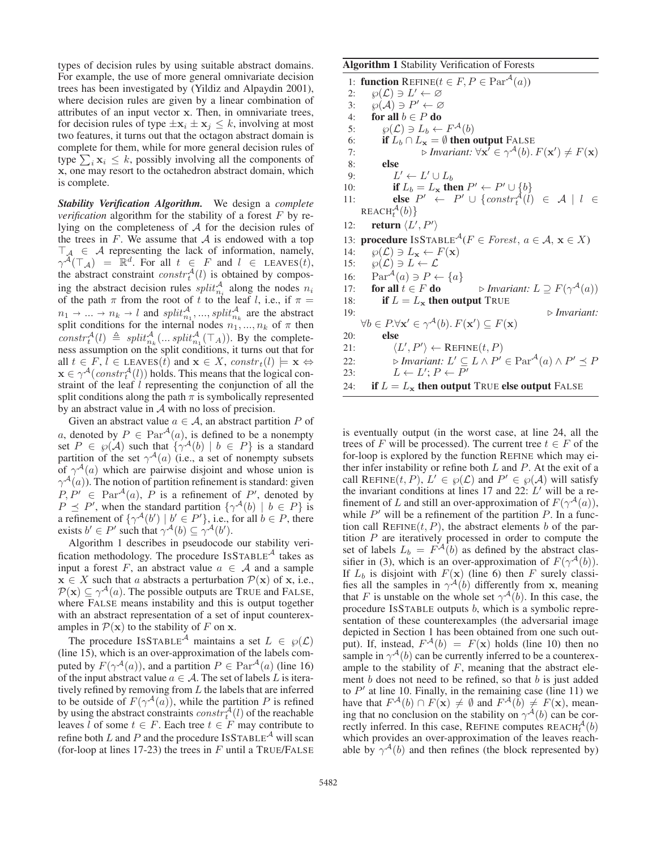types of decision rules by using suitable abstract domains. For example, the use of more general omnivariate decision trees has been investigated by (Yildiz and Alpaydin 2001), where decision rules are given by a linear combination of attributes of an input vector **x**. Then, in omnivariate trees, for decision rules of type  $\pm x_i \pm x_j \leq k$ , involving at most two features, it turns out that the octagon abstract domain is complete for them, while for more general decision rules of type  $\sum_i$ **x**<sub>i</sub>  $\leq$  k, possibly involving all the components of **x**, one may resort to the octahedron abstract domain, which is complete.

*Stability Verification Algorithm.* We design a *complete verification* algorithm for the stability of a forest F by relying on the completeness of A for the decision rules of the trees in  $F$ . We assume that  $A$  is endowed with a top  $\begin{array}{rcl} \top_A \in \mathcal{A} \end{array}$  representing the lack of information, namely,<br>  $\gamma^{\mathcal{A}}(\top_A) = \mathbb{R}^d$ . For all  $t \in F$  and  $l \in$  LEAVES(*t*),<br>
the abstract constraint  $constr_t^{\mathcal{A}}(l)$  is obtained by compos-<br>
ing the abstract d ing the abstract decision rules  $split_{n_i}^{\mathcal{A}}$  along the nodes  $n_i$ of the path  $\pi$  from the root of  $\hat{t}$  to the leaf  $l$ , i.e., if  $\pi =$ <br> $n_1 \rightarrow ... \rightarrow n_k \rightarrow l$  and  $split_{n_1}^{\mathcal{A}}$ , ...,  $split_{n_k}^{\mathcal{A}}$  are the abstract split conditions for the internal nodes  $n_1,...,n_k$  of  $\pi$  then  $constr^{\mathcal{A}}_{\mathcal{A}}(l) \triangleq split^{\mathcal{A}}_{n_k}(\dots split^{\mathcal{A}}_{n-1}(\top_A)).$  By the completeness assumption on the split conditions it turns out that for ness assumption on the split conditions, it turns out that for all  $t \in F$ ,  $l \in$  LEAVES(t) and  $\mathbf{x} \in X$ ,  $constr_t(l) \models \mathbf{x} \Leftrightarrow$  $\mathbf{x} \in \gamma^{\mathcal{A}}(constr_{t}^{\mathcal{A}}(l))$  holds. This means that the logical con-<br>straint of the leaf *l* representing the conjunction of all the straint of the leaf l representing the conjunction of all the split conditions along the path  $\pi$  is symbolically represented by an abstract value in  $A$  with no loss of precision.

Given an abstract value  $a \in A$ , an abstract partition P of a, denoted by  $P \in \text{Par}^{\mathcal{A}}(a)$ , is defined to be a nonempty set  $P \in \mathcal{P}(\mathcal{A})$  such that  $\{\gamma^{\mathcal{A}}(b) \mid b \in P\}$  is a standard partition of the set  $\gamma^{\mathcal{A}}(a)$  (i.e., a set of nonempty subsets of  $\gamma^{\mathcal{A}}(a)$  which are pairwise disjoint and whose union is  $\gamma^{\mathcal{A}}(a)$ ). The notion of partition refinement is standard: given<br> $P P' \in \text{Par}^{\mathcal{A}}(a)$ ,  $P$  is a refinement of  $P'$  denoted by  $P, P' \in \text{Par}^{\mathcal{A}}(a), P$  is a refinement of P', denoted by  $P \prec P'$  when the standard partition  $\{\gamma^{\mathcal{A}}(b) | b \in P\}$  is  $P \preceq P'$ , when the standard partition  $\{\gamma^{\mathcal{A}}(b) \mid b \in P\}$  is a refinement of  $\{\gamma^{\mathcal{A}}(b') \mid b' \in P'\}$  i.e. for all  $b \in P$  there a refinement of  $\{\gamma^A(b') \mid b' \in P'\}$ , i.e., for all  $b \in P$ , there exists  $b' \in P'$  such that  $\gamma^A(b) \subset \gamma^A(b')$ exists  $b' \in P'$  such that  $\gamma^{A}(b) \subseteq \gamma^{A}(b')$ .<br>Algorithm 1 describes in pseudocode

Algorithm 1 describes in pseudocode our stability verification methodology. The procedure  $ISSTABLE<sup>A</sup>$  takes as input a forest F, an abstract value  $a \in A$  and a sample **x** ∈ *X* such that *a* abstracts a perturbation  $\mathcal{P}(\mathbf{x})$  of **x**, i.e.,  $P(x) \subseteq \gamma^{\mathcal{A}}(a)$ . The possible outputs are TRUE and FALSE, where FALSE means instability and this is output together with an abstract representation of a set of input counterexamples in  $\mathcal{P}(\mathbf{x})$  to the stability of F on **x**.

The procedure ISSTABLE<sup>A</sup> maintains a set  $L \in \wp(\mathcal{L})$ (line 15), which is an over-approximation of the labels computed by  $F(\gamma^{\mathcal{A}}(a))$ , and a partition  $P \in \text{Par}^{\mathcal{A}}(a)$  (line 16) of the input abstract value  $a \in A$ . The set of labels L is iteratively refined by removing from  $L$  the labels that are inferred to be outside of  $F(\gamma^{\mathcal{A}}(a))$ , while the partition P is refined by using the abstract constraints  $constr_t^A(l)$  of the reachable<br>leaves *l* of some  $t \in F$  Each tree  $t \in F$  may contribute to leaves l of some  $t \in F$ . Each tree  $t \in F$  may contribute to refine both L and P and the procedure ISSTABLE<sup> $A$ </sup> will scan (for-loop at lines 17-23) the trees in  $F$  until a TRUE/FALSE

Algorithm 1 Stability Verification of Forests 1: **function** REFINE( $t \in F, P \in \text{Par}^{\mathcal{A}}(a)$ )<br>2:  $\wp(\mathcal{L}) \ni L' \leftarrow \varnothing$ 2:  $\wp(\mathcal{L}) \ni L' \leftarrow \varnothing$ <br>3:  $\wp(\mathcal{A}) \ni P' \leftarrow \varnothing$ 3:  $\wp(A) \ni P' \leftarrow \varnothing$ <br>4: **for all**  $b \in P$  **do** for all  $b \in P$  do 5:  $\wp(\mathcal{L}) \ni L_b \leftarrow F^{\mathcal{A}}(b)$ <br>6: **if**  $L_b \cap L_x = \emptyset$  then 6: **if**  $L_b \cap L_{\mathbf{x}} = \emptyset$  **then output** FALSE<br>7: *b Invariant:* ∀ $\mathbf{x}' \in \gamma^{\mathcal{A}}(b)$ . 7:  $\triangleright$  *Invariant:*  $\forall \mathbf{x}^7 \in \gamma^A(b)$ .  $F(\mathbf{x}') \neq F(\mathbf{x})$ <br>8: else 8: else 9:  $L' \leftarrow L' \cup L_b$ <br>10: **if**  $L_b = L_x$  the 10: **if**  $L_b = L_x$  then  $P' \leftarrow P' \cup \{b\}$ <br>
11: **else**  $P' \leftarrow P' \cup \{constraint^A(t) \in A \mid l \in \text{REACH}_t^A(b)\}$ REACH<sub>t</sub><sup> $A$ </sup>(*b*) }<br>return  $\langle I \rangle$ 12: **return**  $\langle L', P' \rangle$ 13: **procedure** ISSTABLE<sup> $A$ </sup>( $F \in Forest, a \in A$ ,  $\mathbf{x} \in X$ ) 14:  $\wp(\mathcal{L}) \ni L_{\mathbf{x}} \leftarrow F(\mathbf{x})$ <br>15:  $\wp(\mathcal{L}) \ni L \leftarrow \mathcal{L}$ 15:  $\wp(\mathcal{L}) \ni L \leftarrow \mathcal{L}$ <br>16:  $\text{Par}^{\mathcal{A}}(a) \ni P \leftarrow$ 16:  $\operatorname{Par}^{\mathcal{A}}(a) \ni P \leftarrow \{a\}$ <br>17: **for all**  $t \in F$  **do** 17: **for all**  $t \in F$  **do**  $\Rightarrow$  *Invariant:*  $L \supseteq F(\gamma^A(a))$ <br>18: **if**  $L = L_x$  **then output** TRUE 18: **if**  $L = L_{\mathbf{x}}$  **then output** TRUE 19: 19: *Invariant:*  $\forall b \in P. \forall \mathbf{x}' \in \gamma^{\mathcal{A}}(b) . F(\mathbf{x}') \subseteq F(\mathbf{x})$ 20: else 21:  $\langle L', P' \rangle \leftarrow \text{REFINE}(t, P)$ <br>
22.  $\sum_{v} I_{\text{maxient}} I' \subset I \land P'$ 22:  $\triangleright$  *Invariant:*  $L' \subseteq L \land P' \in \text{Par}^{\mathcal{A}}(a) \land P' \leq P$ <br>23:  $L \leftarrow L'; P \leftarrow P'$ 

24: **if**  $L = L_x$  then output TRUE else output FALSE

is eventually output (in the worst case, at line 24, all the trees of F will be processed). The current tree  $t \in F$  of the for-loop is explored by the function REFINE which may either infer instability or refine both  $L$  and  $P$ . At the exit of a call REFINE $(t, P)$ ,  $L' \in \wp(\mathcal{L})$  and  $P' \in \wp(\mathcal{A})$  will satisfy the invariant conditions at lines 17 and 22:  $L'$  will be a refinement of L and still an over-approximation of  $F(\gamma^{\mathcal{A}}(a))$ , while  $P'$  will be a refinement of the partition P. In a function call  $REFINE(t, P)$ , the abstract elements b of the partition  $P$  are iteratively processed in order to compute the set of labels  $L_b = F^{\mathcal{A}}(b)$  as defined by the abstract classifier in (3), which is an over-approximation of  $F(\gamma^{A}(b))$ . If  $L_b$  is disjoint with  $F(\mathbf{x})$  (line 6) then F surely classifies all the samples in  $\gamma^{\mathcal{A}}(b)$  differently from **x**, meaning that F is unstable on the whole set  $\gamma^{\mathcal{A}}(b)$ . In this case, the procedure ISSTABLE outputs b, which is a symbolic representation of these counterexamples (the adversarial image depicted in Section 1 has been obtained from one such output). If, instead,  $F^{\mathcal{A}}(b) = F(\mathbf{x})$  holds (line 10) then no sample in  $\gamma^{A}(b)$  can be currently inferred to be a counterexample to the stability of  $F$ , meaning that the abstract element  $b$  does not need to be refined, so that  $b$  is just added to  $P'$  at line 10. Finally, in the remaining case (line 11) we have that  $F^{\mathcal{A}}(b) \cap F(\mathbf{x}) \neq \emptyset$  and  $F^{\mathcal{A}}(b) \neq F(\mathbf{x})$ , meaning that no conclusion on the stability on  $\gamma^{\mathcal{A}}(b)$  can be correctly inferred. In this case, REFINE computes  $REACH<sub>t</sub><sup>A</sup>(b)$  which provides an over-approximation of the leaves reachwhich provides an over-approximation of the leaves reachable by  $\gamma^{\mathcal{A}}(b)$  and then refines (the block represented by)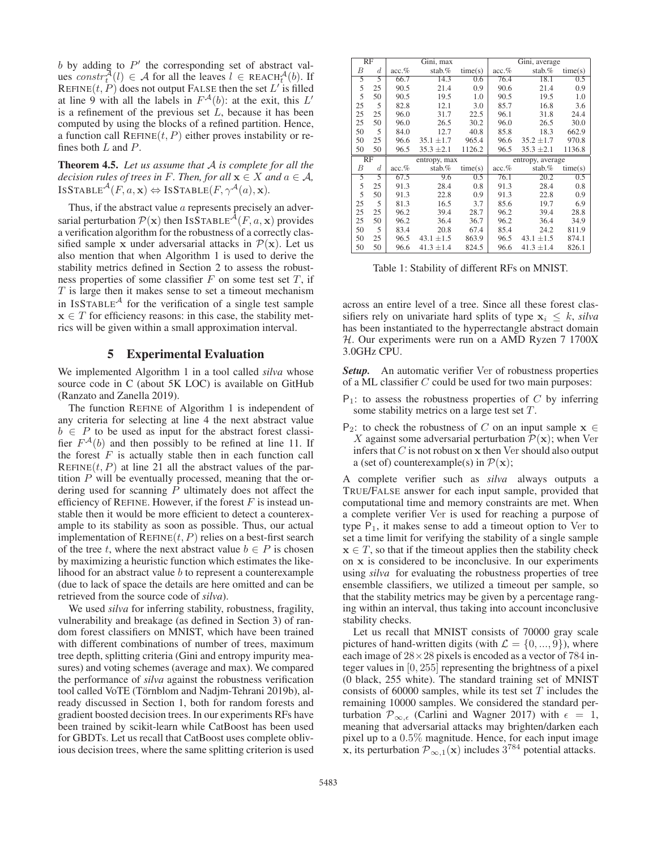$b$  by adding to  $P'$  the corresponding set of abstract values  $constr_t^{\mathcal{A}}(l) \in \mathcal{A}$  for all the leaves  $l \in \text{REACH}_{t}^{\mathcal{A}}(b)$ . If  $\text{REFINE}(t, P)$  does not output EALSE then the set  $L'$  is filled REFINE $(t, P)$  does not output FALSE then the set L' is filled at line 9 with all the labels in  $F^{\mathcal{A}}(b)$ : at the exit, this L' is a refinement of the previous set  $L$ , because it has been computed by using the blocks of a refined partition. Hence, a function call  $REFINE(t, P)$  either proves instability or refines both  $L$  and  $P$ .

Theorem 4.5. *Let us assume that* A *is complete for all the decision rules of trees in* F. Then, for all  $\mathbf{x} \in X$  and  $a \in \mathcal{A}$ ,  $ISSTABLE^{A}(F, a, x) \Leftrightarrow ISSTABLE(F, \gamma^{A}(a), x)$ .

Thus, if the abstract value a represents precisely an adversarial perturbation  $\mathcal{P}(\mathbf{x})$  then ISSTABLE<sup>A</sup>(F, a, **x**) provides a verification algorithm for the robustness of a correctly classified sample **x** under adversarial attacks in  $\mathcal{P}(\mathbf{x})$ . Let us also mention that when Algorithm 1 is used to derive the stability metrics defined in Section 2 to assess the robustness properties of some classifier  $F$  on some test set  $T$ , if  $T$  is large then it makes sense to set a timeout mechanism in ISSTABLE<sup> $A$ </sup> for the verification of a single test sample  $x \in T$  for efficiency reasons: in this case, the stability metrics will be given within a small approximation interval.

# 5 Experimental Evaluation

We implemented Algorithm 1 in a tool called *silva* whose source code in C (about 5K LOC) is available on GitHub (Ranzato and Zanella 2019).

The function REFINE of Algorithm 1 is independent of any criteria for selecting at line 4 the next abstract value  $b \in P$  to be used as input for the abstract forest classifier  $F^{\mathcal{A}}(b)$  and then possibly to be refined at line 11. If the forest  $F$  is actually stable then in each function call REFINE $(t, P)$  at line 21 all the abstract values of the partition P will be eventually processed, meaning that the ordering used for scanning  $P$  ultimately does not affect the efficiency of REFINE. However, if the forest  $F$  is instead unstable then it would be more efficient to detect a counterexample to its stability as soon as possible. Thus, our actual implementation of  $REFINE(t, P)$  relies on a best-first search of the tree t, where the next abstract value  $b \in P$  is chosen by maximizing a heuristic function which estimates the likelihood for an abstract value  $b$  to represent a counterexample (due to lack of space the details are here omitted and can be retrieved from the source code of *silva*).

We used *silva* for inferring stability, robustness, fragility, vulnerability and breakage (as defined in Section 3) of random forest classifiers on MNIST, which have been trained with different combinations of number of trees, maximum tree depth, splitting criteria (Gini and entropy impurity measures) and voting schemes (average and max). We compared the performance of *silva* against the robustness verification tool called VoTE (Törnblom and Nadjm-Tehrani 2019b), already discussed in Section 1, both for random forests and gradient boosted decision trees. In our experiments RFs have been trained by scikit-learn while CatBoost has been used for GBDTs. Let us recall that CatBoost uses complete oblivious decision trees, where the same splitting criterion is used

|    | RF               |                   | Gini, max      |         |          | Gini, average    |         |  |
|----|------------------|-------------------|----------------|---------|----------|------------------|---------|--|
| В  | $\boldsymbol{d}$ | $\mathrm{acc}.\%$ | stab. $%$      | time(s) | acc.%    | stab.%           | time(s) |  |
| 5  | 5                | 66.7              | 14.3           | 0.6     | 76.4     | 18.1             | 0.5     |  |
| 5  | 25               | 90.5              | 21.4           | 0.9     | 90.6     | 21.4             | 0.9     |  |
| 5  | 50               | 90.5              | 19.5           | 1.0     | 90.5     | 19.5             | 1.0     |  |
| 25 | 5                | 82.8              | 12.1           | 3.0     | 85.7     | 16.8             | 3.6     |  |
| 25 | 25               | 96.0              | 31.7           | 22.5    | 96.1     | 31.8             | 24.4    |  |
| 25 | 50               | 96.0              | 26.5           | 30.2    | 96.0     | 26.5             | 30.0    |  |
| 50 | 5                | 84.0              | 12.7           | 40.8    | 85.8     | 18.3             | 662.9   |  |
| 50 | 25               | 96.6              | $35.1 \pm 1.7$ | 965.4   | 96.6     | $35.2 \pm 1.7$   | 970.8   |  |
| 50 | 50               | 96.5              | $35.3 \pm 2.1$ | 1126.2  | 96.5     | $35.3 \pm 2.1$   | 1136.8  |  |
|    |                  |                   |                |         |          |                  |         |  |
|    | RF               |                   | entropy, max   |         |          | entropy, average |         |  |
| В  | $\boldsymbol{d}$ | $acc.$ %          | stab.%         | time(s) | $acc.$ % | stab.%           | time(s) |  |
| 5  | 5                | 67.5              | 9.6            | 0.5     | 76.1     | 20.2             | 0.5     |  |
| 5  | 25               | 91.3              | 28.4           | 0.8     | 91.3     | 28.4             | 0.8     |  |
| 5  | 50               | 91.3              | 22.8           | 0.9     | 91.3     | 22.8             | 0.9     |  |
| 25 | 5                | 81.3              | 16.5           | 3.7     | 85.6     | 19.7             | 6.9     |  |
| 25 | 25               | 96.2              | 39.4           | 28.7    | 96.2     | 39.4             | 28.8    |  |
| 25 | 50               | 96.2              | 36.4           | 36.7    | 96.2     | 36.4             | 34.9    |  |
| 50 | 5                | 83.4              | 20.8           | 67.4    | 85.4     | 24.2             | 811.9   |  |
| 50 | 25               | 96.5              | $43.1 \pm 1.5$ | 863.9   | 96.5     | $43.1 \pm 1.5$   | 874.1   |  |

Table 1: Stability of different RFs on MNIST.

across an entire level of a tree. Since all these forest classifiers rely on univariate hard splits of type  $x_i \leq k$ , *silva* has been instantiated to the hyperrectangle abstract domain  $H$ . Our experiments were run on a AMD Ryzen 7 1700X 3.0GHz CPU.

**Setup.** An automatic verifier Ver of robustness properties of a ML classifier C could be used for two main purposes:

- $P_1$ : to assess the robustness properties of C by inferring some stability metrics on a large test set T.
- P<sub>2</sub>: to check the robustness of C on an input sample  $x \in$ X against some adversarial perturbation  $\mathcal{P}(\mathbf{x})$ ; when Ver infers that  $C$  is not robust on  $x$  then Ver should also output a (set of) counterexample(s) in  $\mathcal{P}(\mathbf{x})$ ;

A complete verifier such as *silva* always outputs a TRUE/FALSE answer for each input sample, provided that computational time and memory constraints are met. When a complete verifier Ver is used for reaching a purpose of type  $P_1$ , it makes sense to add a timeout option to Ver to set a time limit for verifying the stability of a single sample  $x \in T$ , so that if the timeout applies then the stability check on **x** is considered to be inconclusive. In our experiments using *silva* for evaluating the robustness properties of tree ensemble classifiers, we utilized a timeout per sample, so that the stability metrics may be given by a percentage ranging within an interval, thus taking into account inconclusive stability checks.

Let us recall that MNIST consists of 70000 gray scale pictures of hand-written digits (with  $\mathcal{L} = \{0, ..., 9\}$ ), where each image of  $28 \times 28$  pixels is encoded as a vector of 784 integer values in [0, 255] representing the brightness of a pixel (0 black, 255 white). The standard training set of MNIST consists of 60000 samples, while its test set  $T$  includes the remaining 10000 samples. We considered the standard perturbation  $\mathcal{P}_{\infty,\epsilon}$  (Carlini and Wagner 2017) with  $\epsilon = 1$ , meaning that adversarial attacks may brighten/darken each pixel up to a 0.5% magnitude. Hence, for each input image **x**, its perturbation  $\mathcal{P}_{\infty,1}(\mathbf{x})$  includes  $3^{784}$  potential attacks.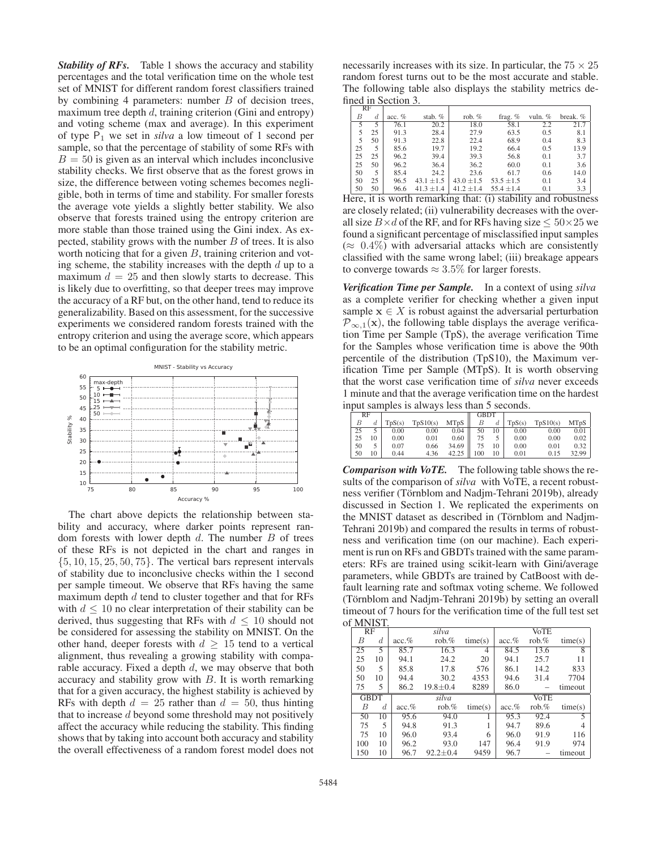**Stability of RFs.** Table 1 shows the accuracy and stability percentages and the total verification time on the whole test set of MNIST for different random forest classifiers trained by combining 4 parameters: number B of decision trees, maximum tree depth  $d$ , training criterion (Gini and entropy) and voting scheme (max and average). In this experiment of type  $P_1$  we set in *silva* a low timeout of 1 second per sample, so that the percentage of stability of some RFs with  $B = 50$  is given as an interval which includes inconclusive stability checks. We first observe that as the forest grows in size, the difference between voting schemes becomes negligible, both in terms of time and stability. For smaller forests the average vote yields a slightly better stability. We also observe that forests trained using the entropy criterion are more stable than those trained using the Gini index. As expected, stability grows with the number  $B$  of trees. It is also worth noticing that for a given  $B$ , training criterion and voting scheme, the stability increases with the depth  $d$  up to a maximum  $d = 25$  and then slowly starts to decrease. This is likely due to overfitting, so that deeper trees may improve the accuracy of a RF but, on the other hand, tend to reduce its generalizability. Based on this assessment, for the successive experiments we considered random forests trained with the entropy criterion and using the average score, which appears to be an optimal configuration for the stability metric.



The chart above depicts the relationship between stability and accuracy, where darker points represent random forests with lower depth  $d$ . The number  $B$  of trees of these RFs is not depicted in the chart and ranges in  $\{5, 10, 15, 25, 50, 75\}$ . The vertical bars represent intervals of stability due to inconclusive checks within the 1 second per sample timeout. We observe that RFs having the same maximum depth  $d$  tend to cluster together and that for RFs with  $d \leq 10$  no clear interpretation of their stability can be derived, thus suggesting that RFs with  $d \leq 10$  should not be considered for assessing the stability on MNIST. On the other hand, deeper forests with  $d \geq 15$  tend to a vertical alignment, thus revealing a growing stability with comparable accuracy. Fixed a depth  $d$ , we may observe that both accuracy and stability grow with  $B$ . It is worth remarking that for a given accuracy, the highest stability is achieved by RFs with depth  $d = 25$  rather than  $d = 50$ , thus hinting that to increase  $d$  beyond some threshold may not positively affect the accuracy while reducing the stability. This finding shows that by taking into account both accuracy and stability the overall effectiveness of a random forest model does not

|    | <b>RF</b> |           |                |                |                |           |          |
|----|-----------|-----------|----------------|----------------|----------------|-----------|----------|
| В  | d         | $acc. \%$ | stab. $%$      | rob. $%$       | frag. $%$      | vuln. $%$ | break. % |
| 5  | 5         | 76.1      | 20.2           | 18.0           | 58.1           | 2.2       | 21.7     |
| 5  | 25        | 91.3      | 28.4           | 27.9           | 63.5           | 0.5       | 8.1      |
| 5  | 50        | 91.3      | 22.8           | 22.4           | 68.9           | 0.4       | 8.3      |
| 25 | 5         | 85.6      | 19.7           | 19.2           | 66.4           | 0.5       | 13.9     |
| 25 | 25        | 96.2      | 39.4           | 39.3           | 56.8           | 0.1       | 3.7      |
| 25 | 50        | 96.2      | 36.4           | 36.2           | 60.0           | 0.1       | 3.6      |
| 50 | 5         | 85.4      | 24.2           | 23.6           | 61.7           | 0.6       | 14.0     |
| 50 | 25        | 96.5      | $43.1 \pm 1.5$ | $43.0 \pm 1.5$ | $53.5 \pm 1.5$ | 0.1       | 3.4      |
| 50 | 50        | 96.6      | $41.3 \pm 1.4$ | $41.2 \pm 1.4$ | $55.4 \pm 1.4$ | 0.1       | 3.3      |

Here, it is worth remarking that: (i) stability and robustness are closely related; (ii) vulnerability decreases with the overall size  $B \times d$  of the RF, and for RFs having size  $\leq 50 \times 25$  we found a significant percentage of misclassified input samples  $(\approx 0.4\%)$  with adversarial attacks which are consistently classified with the same wrong label; (iii) breakage appears to converge towards  $\approx 3.5\%$  for larger forests.

*Verification Time per Sample.* In a context of using *silva* as a complete verifier for checking whether a given input sample  $\mathbf{x} \in X$  is robust against the adversarial perturbation  $\mathcal{P}_{\infty,1}(\mathbf{x})$ , the following table displays the average verification Time per Sample (TpS), the average verification Time for the Samples whose verification time is above the 90th percentile of the distribution (TpS10), the Maximum verification Time per Sample (MTpS). It is worth observing that the worst case verification time of *silva* never exceeds 1 minute and that the average verification time on the hardest input samples is always less than 5 seconds.

| RF |      |          |      |                    | <b>GBDT</b> |      |                                               |                                                               |       |
|----|------|----------|------|--------------------|-------------|------|-----------------------------------------------|---------------------------------------------------------------|-------|
|    |      |          |      |                    |             |      |                                               | $\vert$ TpS(s) TpS10(s) MTpS $\vert$ B d TpS(s) TpS10(s) MTpS |       |
| 25 |      | $0.00\,$ | 0.00 |                    |             |      | $\boxed{0.04}$ $\boxed{50}$ 10 $\boxed{0.00}$ | 0.00                                                          | 0.01  |
| 25 | 10 l | 0.00     | 0.01 | 0.60               | 75          |      | 0.00                                          | 0.00                                                          | 0.02  |
| 50 | 5    | 0.07     | 0.66 | $34.69$ 75 10      |             |      | 0.00                                          | 0.01                                                          | 0.32  |
| 50 | 10   | 0.44     |      | 4.36 $42.25$   100 |             | 10 l | 0.01                                          | 0.15                                                          | 32.99 |

*Comparison with VoTE.* The following table shows the results of the comparison of *silva* with VoTE, a recent robustness verifier (Törnblom and Nadjm-Tehrani 2019b), already discussed in Section 1. We replicated the experiments on the MNIST dataset as described in (Törnblom and Nadjm-Tehrani 2019b) and compared the results in terms of robustness and verification time (on our machine). Each experiment is run on RFs and GBDTs trained with the same parameters: RFs are trained using scikit-learn with Gini/average parameters, while GBDTs are trained by CatBoost with default learning rate and softmax voting scheme. We followed (Törnblom and Nadjm-Tehrani 2019b) by setting an overall timeout of 7 hours for the verification time of the full test set of MNIST.

| . <i>.</i> . |    |           |                |         |           |             |         |  |  |  |
|--------------|----|-----------|----------------|---------|-----------|-------------|---------|--|--|--|
| RF           |    |           | silva          |         |           | <b>VoTE</b> |         |  |  |  |
| В            | d. | $acc. \%$ | rob. $%$       | time(s) | $acc. \%$ | rob. $%$    | time(s) |  |  |  |
| 25           | 5  | 85.7      | 16.3           | 4       | 84.5      | 13.6        | 8       |  |  |  |
| 25           | 10 | 94.1      | 24.2           | 20      | 94.1      | 25.7        | 11      |  |  |  |
| 50           | 5  | 85.8      | 17.8           | 576     | 86.1      | 14.2        | 833     |  |  |  |
| 50           | 10 | 94.4      | 30.2           | 4353    | 94.6      | 31.4        | 7704    |  |  |  |
| 75           | 5  | 86.2      | $19.8 + 0.4$   | 8289    | 86.0      |             | timeout |  |  |  |
| <b>GBDT</b>  |    |           | silva          |         |           | <b>VoTE</b> |         |  |  |  |
| B            | d. | $acc. \%$ | rob. $%$       | time(s) | $acc. \%$ | rob. $%$    | time(s) |  |  |  |
| 50           | 10 | 95.6      | 94.0           |         | 95.3      | 92.4        | 5       |  |  |  |
| 75           | 5  | 94.8      | 91.3           |         | 94.7      | 89.6        |         |  |  |  |
| 75           | 10 | 96.0      | 93.4           | 6       | 96.0      | 91.9        | 116     |  |  |  |
| 100          | 10 | 96.2      | 93.0           | 147     | 96.4      | 91.9        | 974     |  |  |  |
| 150          | 10 | 96.7      | $92.2 \pm 0.4$ | 9459    | 96.7      |             | timeout |  |  |  |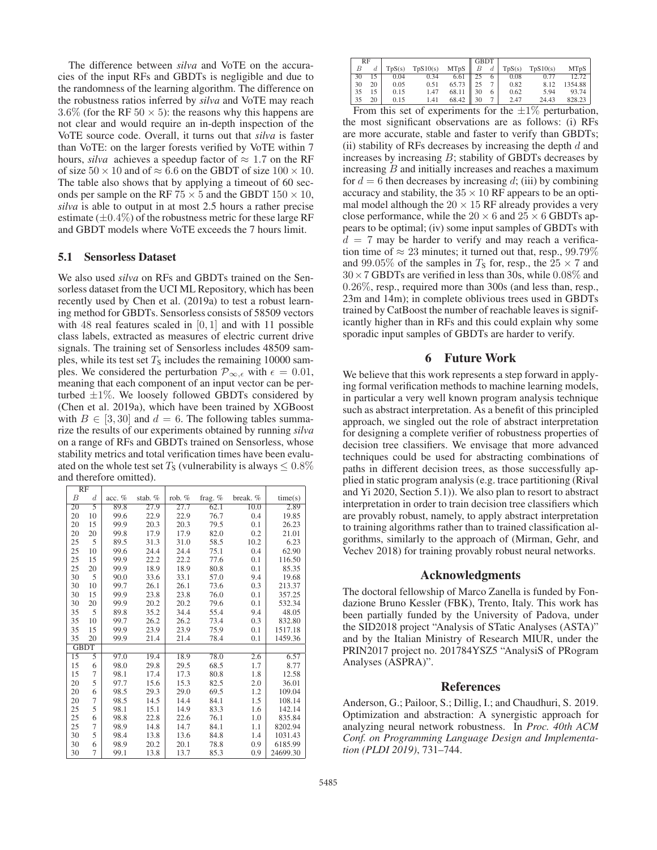The difference between *silva* and VoTE on the accuracies of the input RFs and GBDTs is negligible and due to the randomness of the learning algorithm. The difference on the robustness ratios inferred by *silva* and VoTE may reach 3.6% (for the RF  $50 \times 5$ ): the reasons why this happens are not clear and would require an in-depth inspection of the VoTE source code. Overall, it turns out that *silva* is faster than VoTE: on the larger forests verified by VoTE within 7 hours, *silva* achieves a speedup factor of  $\approx 1.7$  on the RF of size  $50 \times 10$  and of  $\approx 6.6$  on the GBDT of size  $100 \times 10$ . The table also shows that by applying a timeout of 60 seconds per sample on the RF 75  $\times$  5 and the GBDT 150  $\times$  10, *silva* is able to output in at most 2.5 hours a rather precise estimate  $(\pm 0.4\%)$  of the robustness metric for these large RF and GBDT models where VoTE exceeds the 7 hours limit.

#### 5.1 Sensorless Dataset

We also used *silva* on RFs and GBDTs trained on the Sensorless dataset from the UCI ML Repository, which has been recently used by Chen et al. (2019a) to test a robust learning method for GBDTs. Sensorless consists of 58509 vectors with 48 real features scaled in  $[0, 1]$  and with 11 possible class labels, extracted as measures of electric current drive signals. The training set of Sensorless includes 48509 samples, while its test set  $T<sub>S</sub>$  includes the remaining 10000 samples. We considered the perturbation  $\mathcal{P}_{\infty,\epsilon}$  with  $\epsilon = 0.01$ , meaning that each component of an input vector can be perturbed  $\pm 1\%$ . We loosely followed GBDTs considered by (Chen et al. 2019a), which have been trained by XGBoost with  $B \in [3, 30]$  and  $d = 6$ . The following tables summarize the results of our experiments obtained by running *silva* on a range of RFs and GBDTs trained on Sensorless, whose stability metrics and total verification times have been evaluated on the whole test set  $T<sub>S</sub>$  (vulnerability is always  $\leq 0.8\%$ ) and therefore omitted).

| RF              |                  |          |         |          |           |          |          |
|-----------------|------------------|----------|---------|----------|-----------|----------|----------|
| В               | $\boldsymbol{d}$ | acc. $%$ | stab. % | rob. $%$ | frag. $%$ | break. % | time(s)  |
| $\overline{20}$ | 5                | 89.8     | 27.9    | 27.7     | 62.1      | 10.0     | 2.89     |
| 20              | 10               | 99.6     | 22.9    | 22.9     | 76.7      | 0.4      | 19.85    |
| 20              | 15               | 99.9     | 20.3    | 20.3     | 79.5      | 0.1      | 26.23    |
| 20              | 20               | 99.8     | 17.9    | 17.9     | 82.0      | 0.2      | 21.01    |
| 25              | 5                | 89.5     | 31.3    | 31.0     | 58.5      | 10.2     | 6.23     |
| 25              | 10               | 99.6     | 24.4    | 24.4     | 75.1      | 0.4      | 62.90    |
| 25              | 15               | 99.9     | 22.2    | 22.2     | 77.6      | 0.1      | 116.50   |
| 25              | 20               | 99.9     | 18.9    | 18.9     | 80.8      | 0.1      | 85.35    |
| 30              | 5                | 90.0     | 33.6    | 33.1     | 57.0      | 9.4      | 19.68    |
| 30              | 10               | 99.7     | 26.1    | 26.1     | 73.6      | 0.3      | 213.37   |
| 30              | 15               | 99.9     | 23.8    | 23.8     | 76.0      | 0.1      | 357.25   |
| 30              | 20               | 99.9     | 20.2    | 20.2     | 79.6      | 0.1      | 532.34   |
| 35              | 5                | 89.8     | 35.2    | 34.4     | 55.4      | 9.4      | 48.05    |
| 35              | 10               | 99.7     | 26.2    | 26.2     | 73.4      | 0.3      | 832.80   |
| 35              | 15               | 99.9     | 23.9    | 23.9     | 75.9      | 0.1      | 1517.18  |
| 35              | 20               | 99.9     | 21.4    | 21.4     | 78.4      | 0.1      | 1459.36  |
|                 | <b>GBDT</b>      |          |         |          |           |          |          |
| $\overline{15}$ | 5                | 97.0     | 19.4    | 18.9     | 78.0      | 2.6      | 6.57     |
| 15              | 6                | 98.0     | 29.8    | 29.5     | 68.5      | 1.7      | 8.77     |
| 15              | 7                | 98.1     | 17.4    | 17.3     | 80.8      | 1.8      | 12.58    |
| 20              | 5                | 97.7     | 15.6    | 15.3     | 82.5      | 2.0      | 36.01    |
| 20              | 6                | 98.5     | 29.3    | 29.0     | 69.5      | 1.2      | 109.04   |
| 20              | 7                | 98.5     | 14.5    | 14.4     | 84.1      | 1.5      | 108.14   |
| 25              | 5                | 98.1     | 15.1    | 14.9     | 83.3      | 1.6      | 142.14   |
| 25              | 6                | 98.8     | 22.8    | 22.6     | 76.1      | 1.0      | 835.84   |
| 25              | 7                | 98.9     | 14.8    | 14.7     | 84.1      | 1.1      | 8202.94  |
| 30              | 5                | 98.4     | 13.8    | 13.6     | 84.8      | 1.4      | 1031.43  |
| 30              | 6                | 98.9     | 20.2    | 20.1     | 78.8      | 0.9      | 6185.99  |
| 30              | 7                | 99.1     | 13.8    | 13.7     | 85.3      | 0.9      | 24699.30 |

| RF |    |        |          |                      | <b>GBDT</b>    |   |        |          |             |
|----|----|--------|----------|----------------------|----------------|---|--------|----------|-------------|
| В  |    | TpS(s) | TpS10(s) | MTpS $\parallel$ B d |                |   | TpS(s) | TpS10(s) | <b>MTpS</b> |
| 30 | 15 | 0.04   | 0.34     | 6.61                 | -25            | 6 | 0.08   | 0.77     | 12.72       |
| 30 | 20 | 0.05   | 0.51     | 65.73                | $\parallel$ 25 |   | 0.82   | 8.12     | 1354.88     |
| 35 | 15 | 0.15   | 1.47     | 68.11                | 30             | 6 | 0.62   | 5.94     | 93.74       |
| 35 | 20 | 0.15   | 1.41     | 68.42                | 30             |   | 2.47   | 24.43    | 828.23      |

From this set of experiments for the  $\pm 1\%$  perturbation, the most significant observations are as follows: (i) RFs are more accurate, stable and faster to verify than GBDTs; (ii) stability of RFs decreases by increasing the depth  $d$  and increases by increasing  $B$ ; stability of GBDTs decreases by increasing B and initially increases and reaches a maximum for  $d = 6$  then decreases by increasing d; (iii) by combining accuracy and stability, the  $35 \times 10$  RF appears to be an optimal model although the  $20 \times 15$  RF already provides a very close performance, while the  $20 \times 6$  and  $25 \times 6$  GBDTs appears to be optimal; (iv) some input samples of GBDTs with  $d = 7$  may be harder to verify and may reach a verification time of  $\approx 23$  minutes; it turned out that, resp., 99.79% and 99.05% of the samples in  $T_s$  for, resp., the 25  $\times$  7 and  $30 \times 7$  GBDTs are verified in less than 30s, while 0.08% and 0.26%, resp., required more than 300s (and less than, resp., 23m and 14m); in complete oblivious trees used in GBDTs trained by CatBoost the number of reachable leaves is significantly higher than in RFs and this could explain why some sporadic input samples of GBDTs are harder to verify.

## 6 Future Work

We believe that this work represents a step forward in applying formal verification methods to machine learning models, in particular a very well known program analysis technique such as abstract interpretation. As a benefit of this principled approach, we singled out the role of abstract interpretation for designing a complete verifier of robustness properties of decision tree classifiers. We envisage that more advanced techniques could be used for abstracting combinations of paths in different decision trees, as those successfully applied in static program analysis (e.g. trace partitioning (Rival and Yi 2020, Section 5.1)). We also plan to resort to abstract interpretation in order to train decision tree classifiers which are provably robust, namely, to apply abstract interpretation to training algorithms rather than to trained classification algorithms, similarly to the approach of (Mirman, Gehr, and Vechev 2018) for training provably robust neural networks.

## Acknowledgments

The doctoral fellowship of Marco Zanella is funded by Fondazione Bruno Kessler (FBK), Trento, Italy. This work has been partially funded by the University of Padova, under the SID2018 project "Analysis of STatic Analyses (ASTA)" and by the Italian Ministry of Research MIUR, under the PRIN2017 project no. 201784YSZ5 "AnalysiS of PRogram Analyses (ASPRA)".

### References

Anderson, G.; Pailoor, S.; Dillig, I.; and Chaudhuri, S. 2019. Optimization and abstraction: A synergistic approach for analyzing neural network robustness. In *Proc. 40th ACM Conf. on Programming Language Design and Implementation (PLDI 2019)*, 731–744.